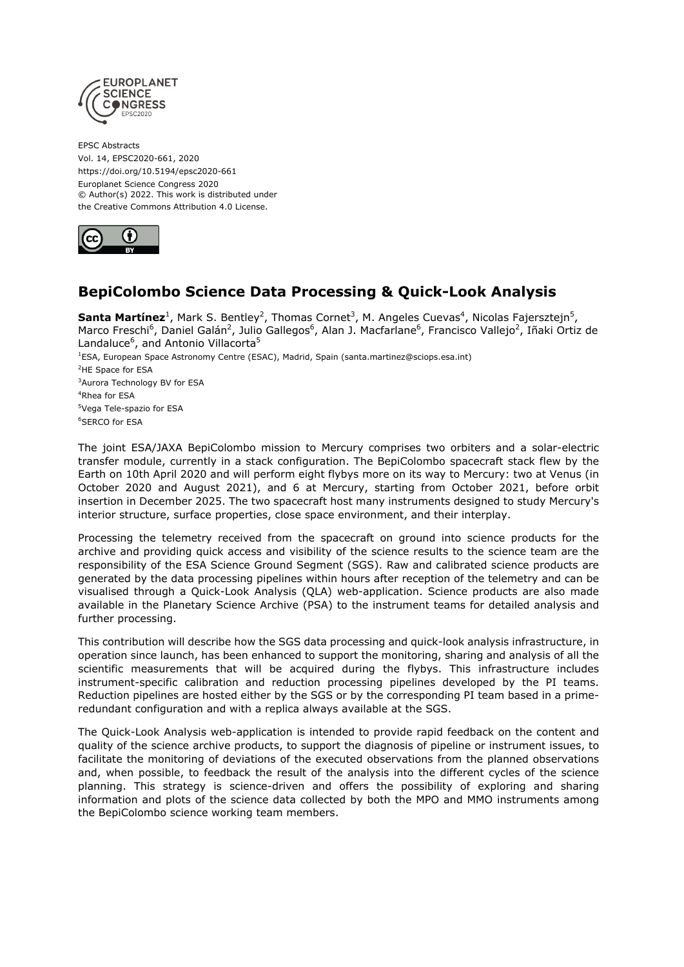

EPSC Abstracts Vol. 14, EPSC2020-661, 2020 https://doi.org/10.5194/epsc2020-661 Europlanet Science Congress 2020 © Author(s) 2022. This work is distributed under the Creative Commons Attribution 4.0 License.



## **BepiColombo Science Data Processing & Quick-Look Analysis**

Santa Martínez<sup>1</sup>, Mark S. Bentley<sup>2</sup>, Thomas Cornet<sup>3</sup>, M. Angeles Cuevas<sup>4</sup>, Nicolas Fajersztejn<sup>5</sup>, Marco Freschi<sup>6</sup>, Daniel Galán<sup>2</sup>, Julio Gallegos<sup>6</sup>, Alan J. Macfarlane<sup>6</sup>, Francisco Vallejo<sup>2</sup>, Iñaki Ortiz de Landaluce<sup>6</sup>, and Antonio Villacorta<sup>5</sup> <sup>1</sup>ESA, European Space Astronomy Centre (ESAC), Madrid, Spain (santa.martinez@sciops.esa.int) <sup>2</sup>HE Space for ESA <sup>3</sup>Aurora Technology BV for ESA <sup>4</sup>Rhea for ESA <sup>5</sup>Vega Tele-spazio for ESA <sup>6</sup>SERCO for ESA

The joint ESA/JAXA BepiColombo mission to Mercury comprises two orbiters and a solar-electric transfer module, currently in a stack configuration. The BepiColombo spacecraft stack flew by the Earth on 10th April 2020 and will perform eight flybys more on its way to Mercury: two at Venus (in October 2020 and August 2021), and 6 at Mercury, starting from October 2021, before orbit insertion in December 2025. The two spacecraft host many instruments designed to study Mercury's interior structure, surface properties, close space environment, and their interplay.

Processing the telemetry received from the spacecraft on ground into science products for the archive and providing quick access and visibility of the science results to the science team are the responsibility of the ESA Science Ground Segment (SGS). Raw and calibrated science products are generated by the data processing pipelines within hours after reception of the telemetry and can be visualised through a Quick-Look Analysis (QLA) web-application. Science products are also made available in the Planetary Science Archive (PSA) to the instrument teams for detailed analysis and further processing.

This contribution will describe how the SGS data processing and quick-look analysis infrastructure, in operation since launch, has been enhanced to support the monitoring, sharing and analysis of all the scientific measurements that will be acquired during the flybys. This infrastructure includes instrument-specific calibration and reduction processing pipelines developed by the PI teams. Reduction pipelines are hosted either by the SGS or by the corresponding PI team based in a primeredundant configuration and with a replica always available at the SGS.

The Quick-Look Analysis web-application is intended to provide rapid feedback on the content and quality of the science archive products, to support the diagnosis of pipeline or instrument issues, to facilitate the monitoring of deviations of the executed observations from the planned observations and, when possible, to feedback the result of the analysis into the different cycles of the science planning. This strategy is science-driven and offers the possibility of exploring and sharing information and plots of the science data collected by both the MPO and MMO instruments among the BepiColombo science working team members.